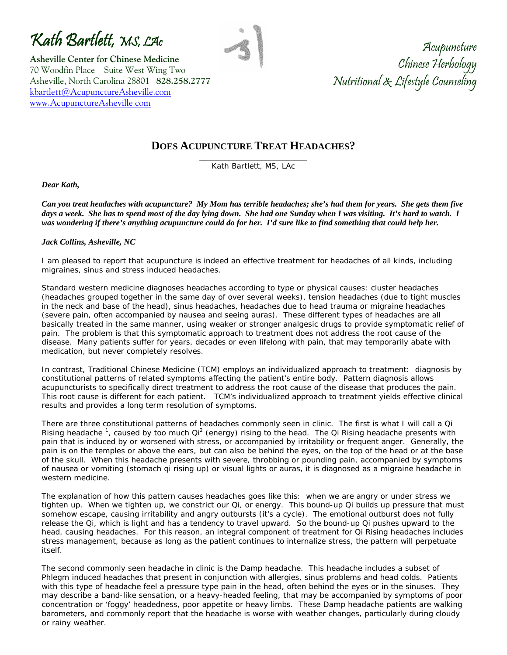Kath Bartlett, MS, LAc

**Asheville Center for Chinese Medicine**  70 Woodfin Place Suite West Wing Two Asheville, North Carolina 28801 **828.258.2777** [kbartlett@AcupunctureAsheville.com](mailto:kbartlett@AcupunctureAsheville.com) [www.AcupunctureAsheville.com](http://www.acupunctureasheville.com/) 

Acupuncture Chinese Herbology Nutritional & Lifestyle Counseling

## **DOES ACUPUNCTURE TREAT HEADACHES?**

\_\_\_\_\_\_\_\_\_\_\_\_\_\_\_\_\_\_\_\_\_\_\_\_\_\_ Kath Bartlett, MS, LAc

*Dear Kath,* 

*Can you treat headaches with acupuncture? My Mom has terrible headaches; she's had them for years. She gets them five days a week. She has to spend most of the day lying down. She had one Sunday when I was visiting. It's hard to watch. I was wondering if there's anything acupuncture could do for her. I'd sure like to find something that could help her.* 

#### *Jack Collins, Asheville, NC*

I am pleased to report that acupuncture is indeed an effective treatment for headaches of all kinds, including migraines, sinus and stress induced headaches.

Standard western medicine diagnoses headaches according to type or physical causes: cluster headaches (headaches grouped together in the same day of over several weeks), tension headaches (due to tight muscles in the neck and base of the head), sinus headaches, headaches due to head trauma or migraine headaches (severe pain, often accompanied by nausea and seeing auras). These different types of headaches are all basically treated in the same manner, using weaker or stronger analgesic drugs to provide symptomatic relief of pain. The problem is that this symptomatic approach to treatment does not address the root cause of the disease. Many patients suffer for years, decades or even lifelong with pain, that may temporarily abate with medication, but never completely resolves.

In contrast, Traditional Chinese Medicine (TCM) employs an individualized approach to treatment: diagnosis by constitutional patterns of related symptoms affecting the patient's entire body. Pattern diagnosis allows acupuncturists to specifically direct treatment to address the root cause of the disease that produces the pain. This root cause is different for each patient. TCM's individualized approach to treatment yields effective clinical results and provides a long term resolution of symptoms.

There are three constitutional patterns of headaches commonly seen in clinic. The first is what I will call a Qi Rising headache<sup>1</sup>, caused by too much Qi<sup>2</sup> (energy) rising to the head. The Qi Rising headache presents with pain that is induced by or worsened with stress, or accompanied by irritability or frequent anger. Generally, the pain is on the temples or above the ears, but can also be behind the eyes, on the top of the head or at the base of the skull. When this headache presents with severe, throbbing or pounding pain, accompanied by symptoms of nausea or vomiting (stomach qi rising up) or visual lights or auras, it is diagnosed as a migraine headache in western medicine.

The explanation of how this pattern causes headaches goes like this: when we are angry or under stress we tighten up. When we tighten up, we constrict our Qi, or energy. This bound-up Qi builds up pressure that must somehow escape, causing irritability and angry outbursts (it's a cycle). The emotional outburst does not fully release the Qi, which is light and has a tendency to travel upward. So the bound-up Qi pushes upward to the head, causing headaches. For this reason, an integral component of treatment for Qi Rising headaches includes stress management, because as long as the patient continues to internalize stress, the pattern will perpetuate itself.

The second commonly seen headache in clinic is the Damp headache. This headache includes a subset of Phlegm induced headaches that present in conjunction with allergies, sinus problems and head colds. Patients with this type of headache feel a pressure type pain in the head, often behind the eyes or in the sinuses. They may describe a band-like sensation, or a heavy-headed feeling, that may be accompanied by symptoms of poor concentration or 'foggy' headedness, poor appetite or heavy limbs. These Damp headache patients are walking barometers, and commonly report that the headache is worse with weather changes, particularly during cloudy or rainy weather.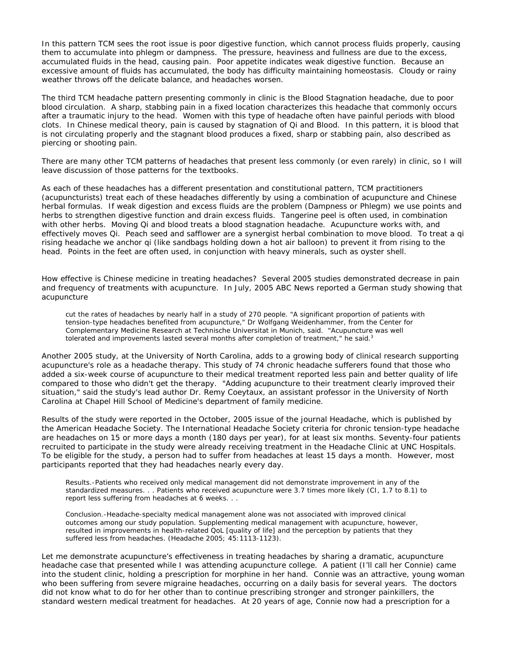In this pattern TCM sees the root issue is poor digestive function, which cannot process fluids properly, causing them to accumulate into phlegm or dampness. The pressure, heaviness and fullness are due to the excess, accumulated fluids in the head, causing pain. Poor appetite indicates weak digestive function. Because an excessive amount of fluids has accumulated, the body has difficulty maintaining homeostasis. Cloudy or rainy weather throws off the delicate balance, and headaches worsen.

The third TCM headache pattern presenting commonly in clinic is the Blood Stagnation headache, due to poor blood circulation. A sharp, stabbing pain in a fixed location characterizes this headache that commonly occurs after a traumatic injury to the head. Women with this type of headache often have painful periods with blood clots. In Chinese medical theory, pain is caused by stagnation of Qi and Blood. In this pattern, it is blood that is not circulating properly and the stagnant blood produces a fixed, sharp or stabbing pain, also described as piercing or shooting pain.

There are many other TCM patterns of headaches that present less commonly (or even rarely) in clinic, so I will leave discussion of those patterns for the textbooks.

As each of these headaches has a different presentation and constitutional pattern, TCM practitioners (acupuncturists) treat each of these headaches differently by using a combination of acupuncture and Chinese herbal formulas. If weak digestion and excess fluids are the problem (Dampness or Phlegm) we use points and herbs to strengthen digestive function and drain excess fluids. Tangerine peel is often used, in combination with other herbs. Moving Qi and blood treats a blood stagnation headache. Acupuncture works with, and effectively moves Qi. Peach seed and safflower are a synergist herbal combination to move blood. To treat a qi rising headache we anchor qi (like sandbags holding down a hot air balloon) to prevent it from rising to the head. Points in the feet are often used, in conjunction with heavy minerals, such as oyster shell.

How effective is Chinese medicine in treating headaches? Several 2005 studies demonstrated decrease in pain and frequency of treatments with acupuncture. In July, 2005 ABC News reported a German study showing that acupuncture

cut the rates of headaches by nearly half in a study of 270 people. "A significant proportion of patients with tension-type headaches benefited from acupuncture," Dr Wolfgang Weidenhammer, from the Center for Complementary Medicine Research at Technische Universitat in Munich, said. "Acupuncture was well tolerated and improvements lasted several months after completion of treatment," he said.<sup>3</sup>

Another 2005 study, at the University of North Carolina, adds to a growing body of clinical research supporting acupuncture's role as a headache therapy. This study of 74 chronic headache sufferers found that those who added a six-week course of acupuncture to their medical treatment reported less pain and better quality of life compared to those who didn't get the therapy. "Adding acupuncture to their treatment clearly improved their situation," said the study's lead author Dr. Remy Coeytaux, an assistant professor in the University of North Carolina at Chapel Hill School of Medicine's department of family medicine.

Results of the study were reported in the October, 2005 issue of the journal Headache, which is published by the American Headache Society. The International Headache Society criteria for chronic tension-type headache are headaches on 15 or more days a month (180 days per year), for at least six months. Seventy-four patients recruited to participate in the study were already receiving treatment in the Headache Clinic at UNC Hospitals. To be eligible for the study, a person had to suffer from headaches at least 15 days a month. However, most participants reported that they had headaches nearly every day.

Results.-Patients who received only medical management did not demonstrate improvement in any of the standardized measures. . . Patients who received acupuncture were 3.7 times more likely (CI, 1.7 to 8.1) to report less suffering from headaches at 6 weeks. . .

Conclusion.-Headache-specialty medical management alone was not associated with improved clinical outcomes among our study population. Supplementing medical management with acupuncture, however, resulted in improvements in health-related QoL [quality of life] and the perception by patients that they suffered less from headaches. (Headache 2005; 45:1113-1123).

Let me demonstrate acupuncture's effectiveness in treating headaches by sharing a dramatic, acupuncture headache case that presented while I was attending acupuncture college. A patient (I'll call her Connie) came into the student clinic, holding a prescription for morphine in her hand. Connie was an attractive, young woman who been suffering from severe migraine headaches, occurring on a daily basis for several years. The doctors did not know what to do for her other than to continue prescribing stronger and stronger painkillers, the standard western medical treatment for headaches. At 20 years of age, Connie now had a prescription for a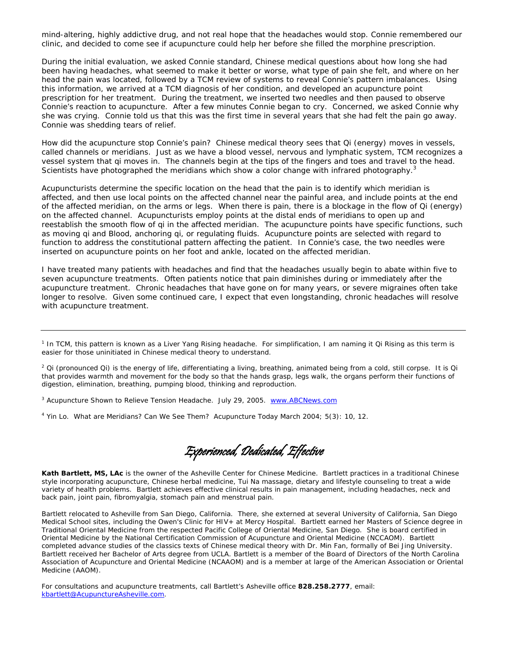mind-altering, highly addictive drug, and not real hope that the headaches would stop. Connie remembered our clinic, and decided to come see if acupuncture could help her before she filled the morphine prescription.

During the initial evaluation, we asked Connie standard, Chinese medical questions about how long she had been having headaches, what seemed to make it better or worse, what type of pain she felt, and where on her head the pain was located, followed by a TCM review of systems to reveal Connie's pattern imbalances. Using this information, we arrived at a TCM diagnosis of her condition, and developed an acupuncture point prescription for her treatment. During the treatment, we inserted two needles and then paused to observe Connie's reaction to acupuncture. After a few minutes Connie began to cry. Concerned, we asked Connie why she was crying. Connie told us that this was the first time in several years that she had felt the pain go away. Connie was shedding tears of relief.

How did the acupuncture stop Connie's pain? Chinese medical theory sees that Qi (energy) moves in vessels, called channels or meridians. Just as we have a blood vessel, nervous and lymphatic system, TCM recognizes a vessel system that qi moves in. The channels begin at the tips of the fingers and toes and travel to the head. Scientists have photographed the meridians which show a color change with infrared photography.<sup>3</sup>

Acupuncturists determine the specific location on the head that the pain is to identify which meridian is affected, and then use local points on the affected channel near the painful area, and include points at the end of the affected meridian, on the arms or legs. When there is pain, there is a blockage in the flow of Qi (energy) on the affected channel. Acupuncturists employ points at the distal ends of meridians to open up and reestablish the smooth flow of qi in the affected meridian. The acupuncture points have specific functions, such as moving qi and Blood, anchoring qi, or regulating fluids. Acupuncture points are selected with regard to function to address the constitutional pattern affecting the patient. In Connie's case, the two needles were inserted on acupuncture points on her foot and ankle, located on the affected meridian.

I have treated many patients with headaches and find that the headaches usually begin to abate within five to seven acupuncture treatments. Often patients notice that pain diminishes during or immediately after the acupuncture treatment. Chronic headaches that have gone on for many years, or severe migraines often take longer to resolve. Given some continued care, I expect that even longstanding, chronic headaches will resolve with acupuncture treatment.

<sup>1</sup> In TCM, this pattern is known as a Liver Yang Rising headache. For simplification, I am naming it Qi Rising as this term is easier for those uninitiated in Chinese medical theory to understand.

<sup>2</sup> Qi (pronounced Qi) is the energy of life, differentiating a living, breathing, animated being from a cold, still corpse. It is Qi that provides warmth and movement for the body so that the hands grasp, legs walk, the organs perform their functions of digestion, elimination, breathing, pumping blood, thinking and reproduction.

<sup>3</sup> Acupuncture Shown to Relieve Tension Headache. July 29, 2005. [www.ABCNews.com](http://www.abcnews.com/)

4 Yin Lo. What are Meridians? Can We See Them? *Acupuncture Today* March 2004; 5(3): 10, 12.

Experienced, Dedicated, Effective

**Kath Bartlett, MS, LAc** is the owner of the Asheville Center for Chinese Medicine. Bartlett practices in a traditional Chinese style incorporating acupuncture, Chinese herbal medicine, Tui Na massage, dietary and lifestyle counseling to treat a wide variety of health problems. Bartlett achieves effective clinical results in pain management, including headaches, neck and back pain, joint pain, fibromyalgia, stomach pain and menstrual pain.

Bartlett relocated to Asheville from San Diego, California. There, she externed at several University of California, San Diego Medical School sites, including the Owen's Clinic for HIV+ at Mercy Hospital. Bartlett earned her Masters of Science degree in Traditional Oriental Medicine from the respected Pacific College of Oriental Medicine, San Diego. She is board certified in Oriental Medicine by the National Certification Commission of Acupuncture and Oriental Medicine (NCCAOM). Bartlett completed advance studies of the classics texts of Chinese medical theory with Dr. Min Fan, formally of Bei Jing University. Bartlett received her Bachelor of Arts degree from UCLA. Bartlett is a member of the Board of Directors of the North Carolina Association of Acupuncture and Oriental Medicine (NCAAOM) and is a member at large of the American Association or Oriental Medicine (AAOM).

For consultations and acupuncture treatments, call Bartlett's Asheville office **828.258.2777**, email: [kbartlett@AcupunctureAsheville.com](mailto:kbartlett@AcupunctureAsheville.com).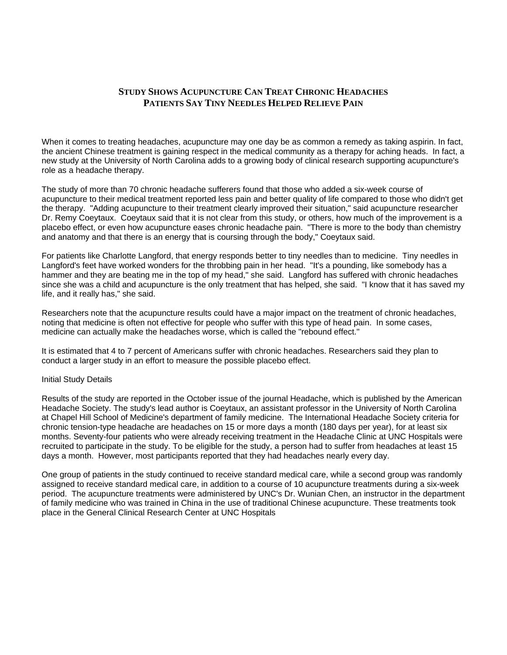### **STUDY SHOWS ACUPUNCTURE CAN TREAT CHRONIC HEADACHES PATIENTS SAY TINY NEEDLES HELPED RELIEVE PAIN**

When it comes to treating headaches, acupuncture may one day be as common a remedy as taking aspirin. In fact, the ancient Chinese treatment is gaining respect in the medical community as a therapy for aching heads. In fact, a new study at the University of North Carolina adds to a growing body of clinical research supporting acupuncture's role as a headache therapy.

The study of more than 70 chronic headache sufferers found that those who added a six-week course of acupuncture to their medical treatment reported less pain and better quality of life compared to those who didn't get the therapy. "Adding acupuncture to their treatment clearly improved their situation," said acupuncture researcher Dr. Remy Coeytaux. Coeytaux said that it is not clear from this study, or others, how much of the improvement is a placebo effect, or even how acupuncture eases chronic headache pain. "There is more to the body than chemistry and anatomy and that there is an energy that is coursing through the body," Coeytaux said.

For patients like Charlotte Langford, that energy responds better to tiny needles than to medicine. Tiny needles in Langford's feet have worked wonders for the throbbing pain in her head. "It's a pounding, like somebody has a hammer and they are beating me in the top of my head," she said. Langford has suffered with chronic headaches since she was a child and acupuncture is the only treatment that has helped, she said. "I know that it has saved my life, and it really has," she said.

Researchers note that the acupuncture results could have a major impact on the treatment of chronic headaches, noting that medicine is often not effective for people who suffer with this type of head pain. In some cases, medicine can actually make the headaches worse, which is called the "rebound effect."

It is estimated that 4 to 7 percent of Americans suffer with chronic headaches. Researchers said they plan to conduct a larger study in an effort to measure the possible placebo effect.

#### Initial Study Details

Results of the study are reported in the October issue of the journal Headache, which is published by the American Headache Society. The study's lead author is Coeytaux, an assistant professor in the University of North Carolina at Chapel Hill School of Medicine's department of family medicine. The International Headache Society criteria for chronic tension-type headache are headaches on 15 or more days a month (180 days per year), for at least six months. Seventy-four patients who were already receiving treatment in the Headache Clinic at UNC Hospitals were recruited to participate in the study. To be eligible for the study, a person had to suffer from headaches at least 15 days a month. However, most participants reported that they had headaches nearly every day.

One group of patients in the study continued to receive standard medical care, while a second group was randomly assigned to receive standard medical care, in addition to a course of 10 acupuncture treatments during a six-week period. The acupuncture treatments were administered by UNC's Dr. Wunian Chen, an instructor in the department of family medicine who was trained in China in the use of traditional Chinese acupuncture. These treatments took place in the General Clinical Research Center at UNC Hospitals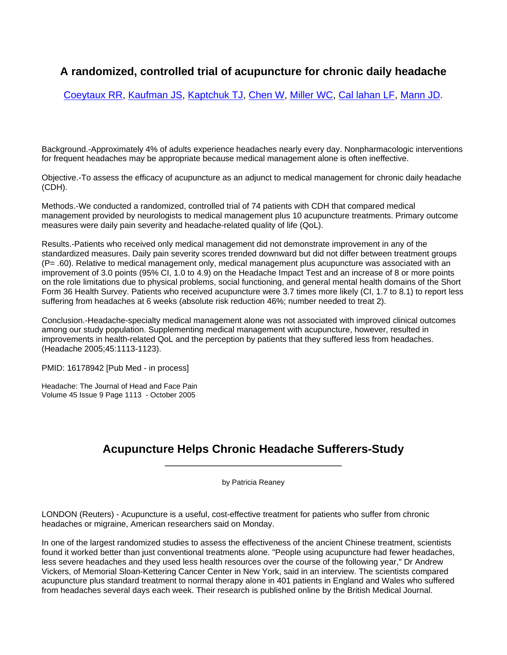## **A randomized, controlled trial of acupuncture for chronic daily headache**

[Coeytaux RR](http://www.ncbi.nlm.nih.gov/entrez/query.fcgi?db=pubmed&cmd=Search&term=%22Coeytaux+RR%22%5BAuthor%5D), [Kaufman JS](http://www.ncbi.nlm.nih.gov/entrez/query.fcgi?db=pubmed&cmd=Search&term=%22Kaufman+JS%22%5BAuthor%5D), [Kaptchuk TJ,](http://www.ncbi.nlm.nih.gov/entrez/query.fcgi?db=pubmed&cmd=Search&term=%22Kaptchuk+TJ%22%5BAuthor%5D) [Chen W,](http://www.ncbi.nlm.nih.gov/entrez/query.fcgi?db=pubmed&cmd=Search&term=%22Chen+W%22%5BAuthor%5D) [Miller WC](http://www.ncbi.nlm.nih.gov/entrez/query.fcgi?db=pubmed&cmd=Search&term=%22Miller+WC%22%5BAuthor%5D), [Cal lahan LF,](http://www.ncbi.nlm.nih.gov/entrez/query.fcgi?db=pubmed&cmd=Search&term=%22Callahan+LF%22%5BAuthor%5D) [Mann JD.](http://www.ncbi.nlm.nih.gov/entrez/query.fcgi?db=pubmed&cmd=Search&term=%22Mann+JD%22%5BAuthor%5D)

Background.-Approximately 4% of adults experience headaches nearly every day. Nonpharmacologic interventions for frequent headaches may be appropriate because medical management alone is often ineffective.

Objective.-To assess the efficacy of acupuncture as an adjunct to medical management for chronic daily headache (CDH).

Methods.-We conducted a randomized, controlled trial of 74 patients with CDH that compared medical management provided by neurologists to medical management plus 10 acupuncture treatments. Primary outcome measures were daily pain severity and headache-related quality of life (QoL).

Results.-Patients who received only medical management did not demonstrate improvement in any of the standardized measures. Daily pain severity scores trended downward but did not differ between treatment groups (P= .60). Relative to medical management only, medical management plus acupuncture was associated with an improvement of 3.0 points (95% CI, 1.0 to 4.9) on the Headache Impact Test and an increase of 8 or more points on the role limitations due to physical problems, social functioning, and general mental health domains of the Short Form 36 Health Survey. Patients who received acupuncture were 3.7 times more likely (CI, 1.7 to 8.1) to report less suffering from headaches at 6 weeks (absolute risk reduction 46%; number needed to treat 2).

Conclusion.-Headache-specialty medical management alone was not associated with improved clinical outcomes among our study population. Supplementing medical management with acupuncture, however, resulted in improvements in health-related QoL and the perception by patients that they suffered less from headaches. (Headache 2005;45:1113-1123).

PMID: 16178942 [Pub Med - in process]

Headache: The Journal of Head and Face Pain Volume 45 Issue 9 Page 1113 - October 2005

## **Acupuncture Helps Chronic Headache Sufferers-Study** \_\_\_\_\_\_\_\_\_\_\_\_\_\_\_\_\_\_\_\_\_\_\_\_\_\_\_\_\_\_\_\_

by Patricia Reaney

LONDON (Reuters) - Acupuncture is a useful, cost-effective treatment for patients who suffer from chronic headaches or migraine, American researchers said on Monday.

In one of the largest randomized studies to assess the effectiveness of the ancient Chinese treatment, scientists found it worked better than just conventional treatments alone. "People using acupuncture had fewer headaches, less severe headaches and they used less health resources over the course of the following year," Dr Andrew Vickers, of Memorial Sloan-Kettering Cancer Center in New York, said in an interview. The scientists compared acupuncture plus standard treatment to normal therapy alone in 401 patients in England and Wales who suffered from headaches several days each week. Their research is published online by the British Medical Journal.